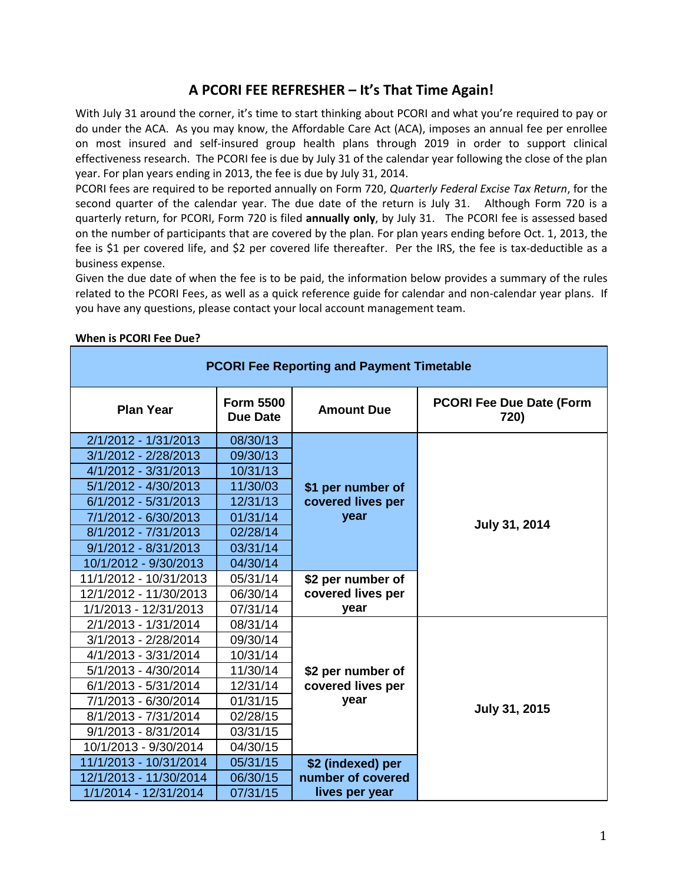# **A PCORI FEE REFRESHER – It's That Time Again!**

With July 31 around the corner, it's time to start thinking about PCORI and what you're required to pay or do under the ACA. As you may know, the Affordable Care Act (ACA), imposes an annual fee per enrollee on most insured and self-insured group health plans through 2019 in order to support clinical effectiveness research. The PCORI fee is due by July 31 of the calendar year following the close of the plan year. For plan years ending in 2013, the fee is due by July 31, 2014.

PCORI fees are required to be reported annually on Form 720, *Quarterly Federal Excise Tax Return*, for the second quarter of the calendar year. The due date of the return is July 31. Although Form 720 is a quarterly return, for PCORI, Form 720 is filed **annually only**, by July 31. The PCORI fee is assessed based on the number of participants that are covered by the plan. For plan years ending before Oct. 1, 2013, the fee is \$1 per covered life, and \$2 per covered life thereafter. Per the IRS, the fee is tax-deductible as a business expense.

Given the due date of when the fee is to be paid, the information below provides a summary of the rules related to the PCORI Fees, as well as a quick reference guide for calendar and non-calendar year plans. If you have any questions, please contact your local account management team.

| <b>PCORI Fee Reporting and Payment Timetable</b> |                                     |                                                                                                  |                                         |  |
|--------------------------------------------------|-------------------------------------|--------------------------------------------------------------------------------------------------|-----------------------------------------|--|
| <b>Plan Year</b>                                 | <b>Form 5500</b><br><b>Due Date</b> | <b>Amount Due</b>                                                                                | <b>PCORI Fee Due Date (Form</b><br>720) |  |
| 2/1/2012 - 1/31/2013                             | 08/30/13                            |                                                                                                  |                                         |  |
| 3/1/2012 - 2/28/2013                             | 09/30/13                            |                                                                                                  |                                         |  |
| 4/1/2012 - 3/31/2013                             | 10/31/13                            | \$1 per number of<br>covered lives per<br>year<br>\$2 per number of<br>covered lives per<br>year |                                         |  |
| 5/1/2012 - 4/30/2013                             | 11/30/03                            |                                                                                                  |                                         |  |
| 6/1/2012 - 5/31/2013                             | 12/31/13                            |                                                                                                  |                                         |  |
| 7/1/2012 - 6/30/2013                             | 01/31/14                            |                                                                                                  | July 31, 2014                           |  |
| 8/1/2012 - 7/31/2013                             | 02/28/14                            |                                                                                                  |                                         |  |
| 9/1/2012 - 8/31/2013                             | 03/31/14                            |                                                                                                  |                                         |  |
| 10/1/2012 - 9/30/2013                            | 04/30/14                            |                                                                                                  |                                         |  |
| 11/1/2012 - 10/31/2013                           | 05/31/14                            |                                                                                                  |                                         |  |
| 12/1/2012 - 11/30/2013                           | 06/30/14                            |                                                                                                  |                                         |  |
| 1/1/2013 - 12/31/2013                            | 07/31/14                            |                                                                                                  |                                         |  |
| 2/1/2013 - 1/31/2014                             | 08/31/14                            |                                                                                                  |                                         |  |
| 3/1/2013 - 2/28/2014                             | 09/30/14                            |                                                                                                  |                                         |  |
| 4/1/2013 - 3/31/2014                             | 10/31/14                            |                                                                                                  |                                         |  |
| 5/1/2013 - 4/30/2014                             | 11/30/14                            | \$2 per number of                                                                                |                                         |  |
| 6/1/2013 - 5/31/2014                             | 12/31/14                            | covered lives per                                                                                |                                         |  |
| 7/1/2013 - 6/30/2014                             | 01/31/15                            | year                                                                                             | July 31, 2015                           |  |
| 8/1/2013 - 7/31/2014                             | 02/28/15                            |                                                                                                  |                                         |  |
| 9/1/2013 - 8/31/2014                             | 03/31/15                            |                                                                                                  |                                         |  |
| 10/1/2013 - 9/30/2014                            | 04/30/15                            |                                                                                                  |                                         |  |
| 11/1/2013 - 10/31/2014                           | 05/31/15                            | \$2 (indexed) per                                                                                |                                         |  |
| 12/1/2013 - 11/30/2014                           | 06/30/15                            | number of covered                                                                                |                                         |  |
| 1/1/2014 - 12/31/2014                            | 07/31/15                            | lives per year                                                                                   |                                         |  |

#### **When is PCORI Fee Due?**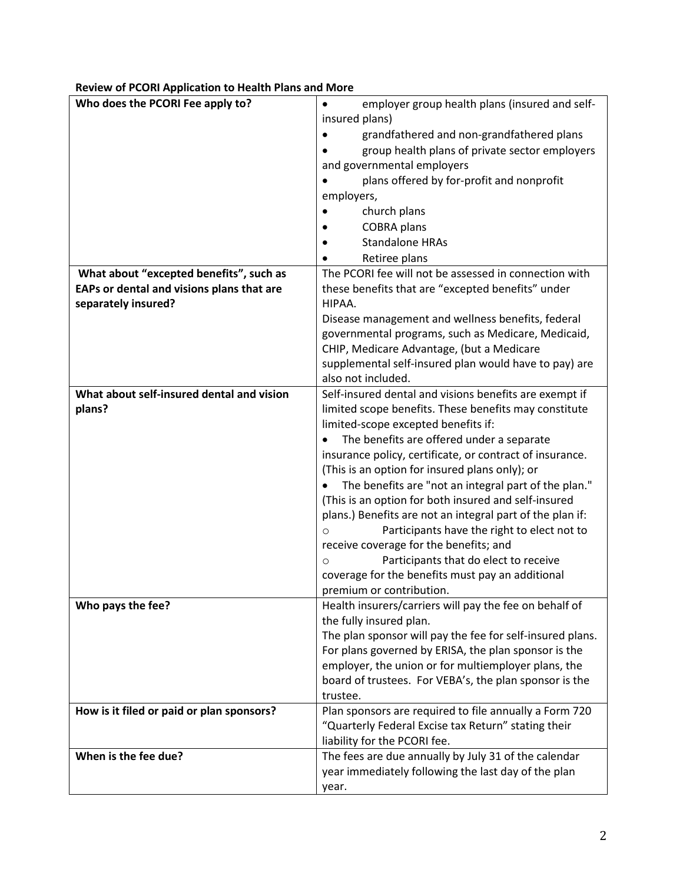| Who does the PCORI Fee apply to?          | employer group health plans (insured and self-<br>$\bullet$ |
|-------------------------------------------|-------------------------------------------------------------|
|                                           | insured plans)                                              |
|                                           | grandfathered and non-grandfathered plans                   |
|                                           | group health plans of private sector employers              |
|                                           | and governmental employers                                  |
|                                           | plans offered by for-profit and nonprofit                   |
|                                           | employers,                                                  |
|                                           | church plans                                                |
|                                           | <b>COBRA</b> plans                                          |
|                                           | <b>Standalone HRAs</b>                                      |
|                                           | Retiree plans                                               |
| What about "excepted benefits", such as   | The PCORI fee will not be assessed in connection with       |
| EAPs or dental and visions plans that are | these benefits that are "excepted benefits" under           |
| separately insured?                       | HIPAA.                                                      |
|                                           | Disease management and wellness benefits, federal           |
|                                           | governmental programs, such as Medicare, Medicaid,          |
|                                           | CHIP, Medicare Advantage, (but a Medicare                   |
|                                           | supplemental self-insured plan would have to pay) are       |
|                                           | also not included.                                          |
| What about self-insured dental and vision | Self-insured dental and visions benefits are exempt if      |
| plans?                                    | limited scope benefits. These benefits may constitute       |
|                                           | limited-scope excepted benefits if:                         |
|                                           | The benefits are offered under a separate                   |
|                                           | insurance policy, certificate, or contract of insurance.    |
|                                           | (This is an option for insured plans only); or              |
|                                           | The benefits are "not an integral part of the plan."        |
|                                           | (This is an option for both insured and self-insured        |
|                                           | plans.) Benefits are not an integral part of the plan if:   |
|                                           | Participants have the right to elect not to<br>$\circ$      |
|                                           | receive coverage for the benefits; and                      |
|                                           | Participants that do elect to receive<br>$\circ$            |
|                                           | coverage for the benefits must pay an additional            |
|                                           | premium or contribution.                                    |
| Who pays the fee?                         | Health insurers/carriers will pay the fee on behalf of      |
|                                           | the fully insured plan.                                     |
|                                           | The plan sponsor will pay the fee for self-insured plans.   |
|                                           | For plans governed by ERISA, the plan sponsor is the        |
|                                           | employer, the union or for multiemployer plans, the         |
|                                           | board of trustees. For VEBA's, the plan sponsor is the      |
|                                           | trustee.                                                    |
| How is it filed or paid or plan sponsors? | Plan sponsors are required to file annually a Form 720      |
|                                           | "Quarterly Federal Excise tax Return" stating their         |
|                                           | liability for the PCORI fee.                                |
| When is the fee due?                      | The fees are due annually by July 31 of the calendar        |
|                                           | year immediately following the last day of the plan         |
|                                           | year.                                                       |

## **Review of PCORI Application to Health Plans and More**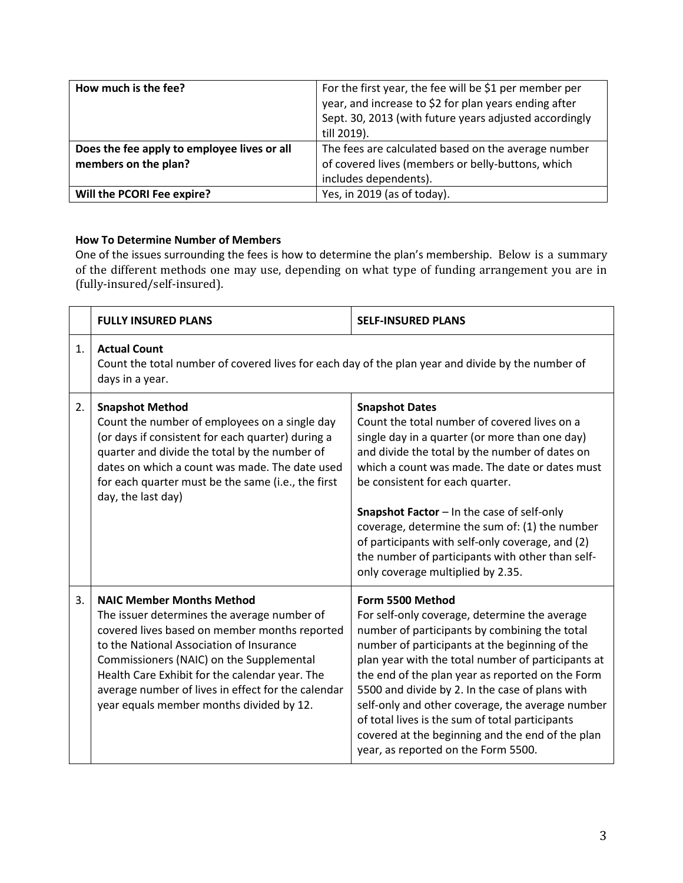| How much is the fee?                        | For the first year, the fee will be \$1 per member per<br>year, and increase to \$2 for plan years ending after<br>Sept. 30, 2013 (with future years adjusted accordingly<br>till 2019). |
|---------------------------------------------|------------------------------------------------------------------------------------------------------------------------------------------------------------------------------------------|
| Does the fee apply to employee lives or all | The fees are calculated based on the average number                                                                                                                                      |
| members on the plan?                        | of covered lives (members or belly-buttons, which                                                                                                                                        |
|                                             | includes dependents).                                                                                                                                                                    |
| Will the PCORI Fee expire?                  | Yes, in 2019 (as of today).                                                                                                                                                              |

## **How To Determine Number of Members**

One of the issues surrounding the fees is how to determine the plan's membership. Below is a summary of the different methods one may use, depending on what type of funding arrangement you are in (fully-insured/self-insured).

|                | <b>FULLY INSURED PLANS</b>                                                                                                                                                                                                                                                                                                                                                   | <b>SELF-INSURED PLANS</b>                                                                                                                                                                                                                                                                                                                                                                                                                                                                                                           |
|----------------|------------------------------------------------------------------------------------------------------------------------------------------------------------------------------------------------------------------------------------------------------------------------------------------------------------------------------------------------------------------------------|-------------------------------------------------------------------------------------------------------------------------------------------------------------------------------------------------------------------------------------------------------------------------------------------------------------------------------------------------------------------------------------------------------------------------------------------------------------------------------------------------------------------------------------|
| $\mathbf{1}$ . | <b>Actual Count</b><br>Count the total number of covered lives for each day of the plan year and divide by the number of<br>days in a year.                                                                                                                                                                                                                                  |                                                                                                                                                                                                                                                                                                                                                                                                                                                                                                                                     |
| 2.             | <b>Snapshot Method</b><br>Count the number of employees on a single day<br>(or days if consistent for each quarter) during a<br>quarter and divide the total by the number of<br>dates on which a count was made. The date used<br>for each quarter must be the same (i.e., the first<br>day, the last day)                                                                  | <b>Snapshot Dates</b><br>Count the total number of covered lives on a<br>single day in a quarter (or more than one day)<br>and divide the total by the number of dates on<br>which a count was made. The date or dates must<br>be consistent for each quarter.<br>Snapshot Factor - In the case of self-only<br>coverage, determine the sum of: (1) the number<br>of participants with self-only coverage, and (2)<br>the number of participants with other than self-<br>only coverage multiplied by 2.35.                         |
| 3.             | <b>NAIC Member Months Method</b><br>The issuer determines the average number of<br>covered lives based on member months reported<br>to the National Association of Insurance<br>Commissioners (NAIC) on the Supplemental<br>Health Care Exhibit for the calendar year. The<br>average number of lives in effect for the calendar<br>year equals member months divided by 12. | Form 5500 Method<br>For self-only coverage, determine the average<br>number of participants by combining the total<br>number of participants at the beginning of the<br>plan year with the total number of participants at<br>the end of the plan year as reported on the Form<br>5500 and divide by 2. In the case of plans with<br>self-only and other coverage, the average number<br>of total lives is the sum of total participants<br>covered at the beginning and the end of the plan<br>year, as reported on the Form 5500. |